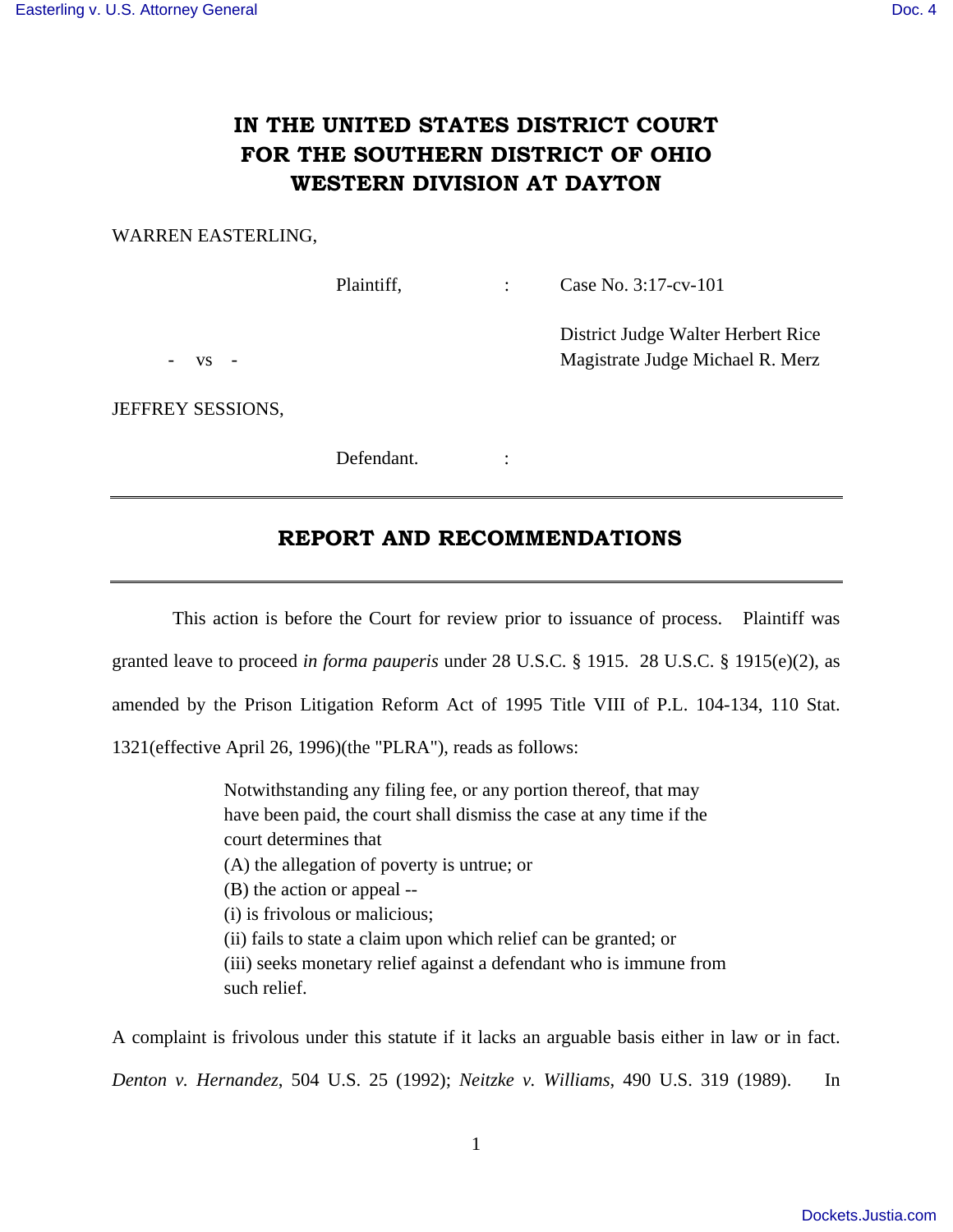# **IN THE UNITED STATES DISTRICT COURT FOR THE SOUTHERN DISTRICT OF OHIO WESTERN DIVISION AT DAYTON**

#### WARREN EASTERLING,

Plaintiff, : Case No. 3:17-cv-101

 District Judge Walter Herbert Rice vs - Magistrate Judge Michael R. Merz

JEFFREY SESSIONS,

Defendant. :

## **REPORT AND RECOMMENDATIONS**

 This action is before the Court for review prior to issuance of process. Plaintiff was granted leave to proceed *in forma pauperis* under 28 U.S.C. § 1915. 28 U.S.C. § 1915(e)(2), as amended by the Prison Litigation Reform Act of 1995 Title VIII of P.L. 104-134, 110 Stat. 1321(effective April 26, 1996)(the "PLRA"), reads as follows:

> Notwithstanding any filing fee, or any portion thereof, that may have been paid, the court shall dismiss the case at any time if the court determines that (A) the allegation of poverty is untrue; or (B) the action or appeal -- (i) is frivolous or malicious; (ii) fails to state a claim upon which relief can be granted; or (iii) seeks monetary relief against a defendant who is immune from such relief.

A complaint is frivolous under this statute if it lacks an arguable basis either in law or in fact. *Denton v. Hernandez*, 504 U.S. 25 (1992); *Neitzke v. Williams*, 490 U.S. 319 (1989). In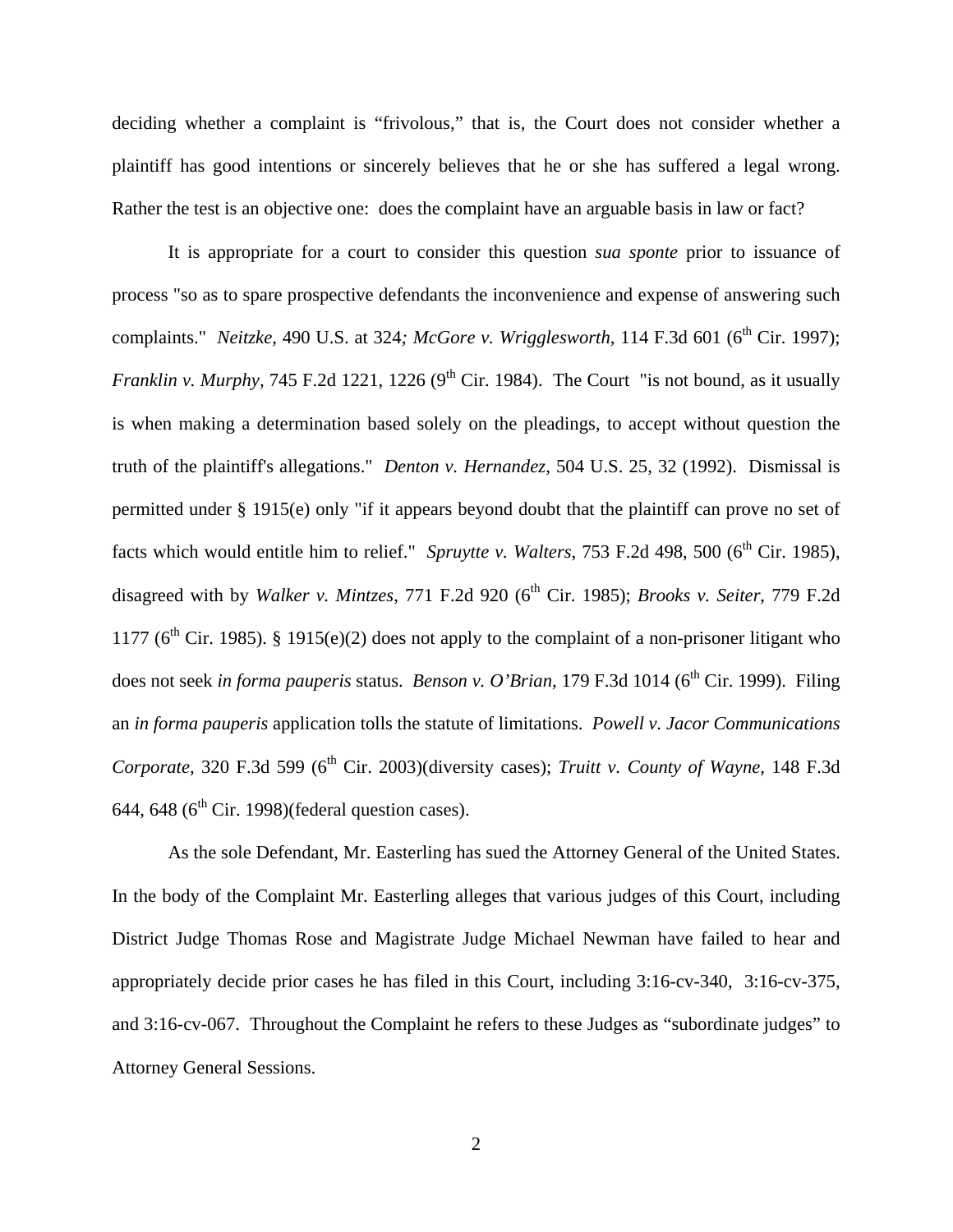deciding whether a complaint is "frivolous," that is, the Court does not consider whether a plaintiff has good intentions or sincerely believes that he or she has suffered a legal wrong. Rather the test is an objective one: does the complaint have an arguable basis in law or fact?

 It is appropriate for a court to consider this question *sua sponte* prior to issuance of process "so as to spare prospective defendants the inconvenience and expense of answering such complaints." *Neitzke*, 490 U.S. at 324; *McGore v. Wrigglesworth*, 114 F.3d 601 (6<sup>th</sup> Cir. 1997); *Franklin v. Murphy,* 745 F.2d 1221, 1226 (9<sup>th</sup> Cir. 1984). The Court "is not bound, as it usually is when making a determination based solely on the pleadings, to accept without question the truth of the plaintiff's allegations." *Denton v. Hernandez*, 504 U.S. 25, 32 (1992). Dismissal is permitted under § 1915(e) only "if it appears beyond doubt that the plaintiff can prove no set of facts which would entitle him to relief." *Spruytte v. Walters*, 753 F.2d 498, 500 ( $6<sup>th</sup>$  Cir. 1985), disagreed with by *Walker v. Mintzes*, 771 F.2d 920 (6<sup>th</sup> Cir. 1985); *Brooks v. Seiter*, 779 F.2d 1177 ( $6<sup>th</sup>$  Cir. 1985). § 1915(e)(2) does not apply to the complaint of a non-prisoner litigant who does not seek *in forma pauperis* status. *Benson v. O'Brian*, 179 F.3d 1014 (6<sup>th</sup> Cir. 1999). Filing an *in forma pauperis* application tolls the statute of limitations. *Powell v. Jacor Communications Corporate,* 320 F.3d 599 (6<sup>th</sup> Cir. 2003)(diversity cases); *Truitt v. County of Wayne*, 148 F.3d 644, 648 ( $6<sup>th</sup>$  Cir. 1998)(federal question cases).

 As the sole Defendant, Mr. Easterling has sued the Attorney General of the United States. In the body of the Complaint Mr. Easterling alleges that various judges of this Court, including District Judge Thomas Rose and Magistrate Judge Michael Newman have failed to hear and appropriately decide prior cases he has filed in this Court, including 3:16-cv-340, 3:16-cv-375, and 3:16-cv-067. Throughout the Complaint he refers to these Judges as "subordinate judges" to Attorney General Sessions.